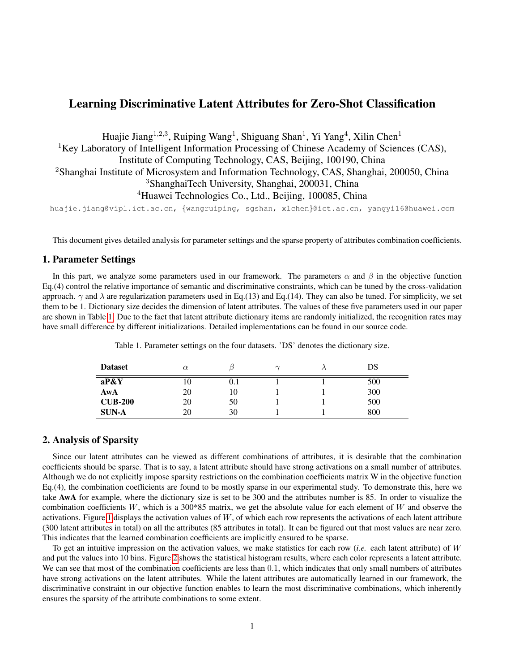## Learning Discriminative Latent Attributes for Zero-Shot Classification

Huajie Jiang<sup>1,2,3</sup>, Ruiping Wang<sup>1</sup>, Shiguang Shan<sup>1</sup>, Yi Yang<sup>4</sup>, Xilin Chen<sup>1</sup> <sup>1</sup>Key Laboratory of Intelligent Information Processing of Chinese Academy of Sciences (CAS), Institute of Computing Technology, CAS, Beijing, 100190, China <sup>2</sup>Shanghai Institute of Microsystem and Information Technology, CAS, Shanghai, 200050, China <sup>3</sup>ShanghaiTech University, Shanghai, 200031, China <sup>4</sup>Huawei Technologies Co., Ltd., Beijing, 100085, China

huajie.jiang@vipl.ict.ac.cn, {wangruiping, sgshan, xlchen}@ict.ac.cn, yangyi16@huawei.com

This document gives detailed analysis for parameter settings and the sparse property of attributes combination coefficients.

## 1. Parameter Settings

In this part, we analyze some parameters used in our framework. The parameters  $\alpha$  and  $\beta$  in the objective function Eq.(4) control the relative importance of semantic and discriminative constraints, which can be tuned by the cross-validation approach.  $\gamma$  and  $\lambda$  are regularization parameters used in Eq.(13) and Eq.(14). They can also be tuned. For simplicity, we set them to be 1. Dictionary size decides the dimension of latent attributes. The values of these five parameters used in our paper are shown in Table [1.](#page-0-0) Due to the fact that latent attribute dictionary items are randomly initialized, the recognition rates may have small difference by different initializations. Detailed implementations can be found in our source code.

| Table 1. Parameter settings on the four datasets. 'DS' denotes the dictionary size. |  |  |  |  |  |
|-------------------------------------------------------------------------------------|--|--|--|--|--|
|                                                                                     |  |  |  |  |  |

<span id="page-0-0"></span>

| <b>Dataset</b> | $\alpha$ |     | $\sim$ | DS  |
|----------------|----------|-----|--------|-----|
| aP&Y           | 10       | 0.1 |        | 500 |
| AwA            | 20       | 10  |        | 300 |
| <b>CUB-200</b> | 20       | 50  |        | 500 |
| <b>SUN-A</b>   | 20       | 30  |        | 800 |

## 2. Analysis of Sparsity

Since our latent attributes can be viewed as different combinations of attributes, it is desirable that the combination coefficients should be sparse. That is to say, a latent attribute should have strong activations on a small number of attributes. Although we do not explicitly impose sparsity restrictions on the combination coefficients matrix W in the objective function Eq.(4), the combination coefficients are found to be mostly sparse in our experimental study. To demonstrate this, here we take AwA for example, where the dictionary size is set to be 300 and the attributes number is 85. In order to visualize the combination coefficients W, which is a 300\*85 matrix, we get the absolute value for each element of W and observe the activations. Figure [1](#page-1-0) displays the activation values of  $W$ , of which each row represents the activations of each latent attribute (300 latent attributes in total) on all the attributes (85 attributes in total). It can be figured out that most values are near zero. This indicates that the learned combination coefficients are implicitly ensured to be sparse.

To get an intuitive impression on the activation values, we make statistics for each row (*i.e.* each latent attribute) of W and put the values into 10 bins. Figure [2](#page-1-1) shows the statistical histogram results, where each color represents a latent attribute. We can see that most of the combination coefficients are less than 0.1, which indicates that only small numbers of attributes have strong activations on the latent attributes. While the latent attributes are automatically learned in our framework, the discriminative constraint in our objective function enables to learn the most discriminative combinations, which inherently ensures the sparsity of the attribute combinations to some extent.